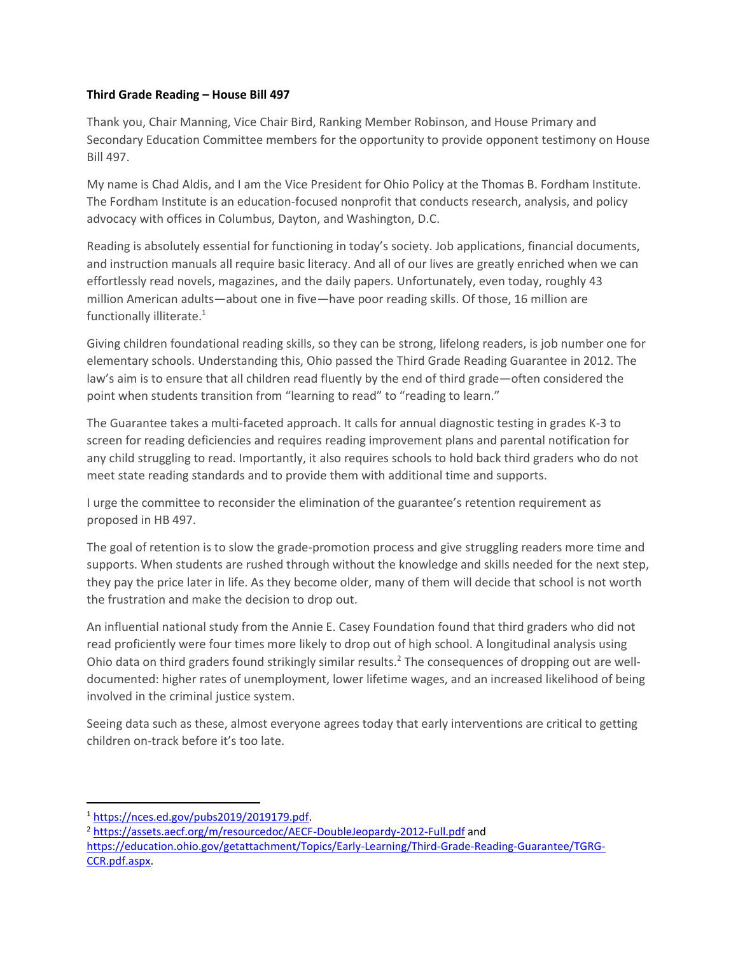## **Third Grade Reading – House Bill 497**

Thank you, Chair Manning, Vice Chair Bird, Ranking Member Robinson, and House Primary and Secondary Education Committee members for the opportunity to provide opponent testimony on House Bill 497.

My name is Chad Aldis, and I am the Vice President for Ohio Policy at the Thomas B. Fordham Institute. The Fordham Institute is an education-focused nonprofit that conducts research, analysis, and policy advocacy with offices in Columbus, Dayton, and Washington, D.C.

Reading is absolutely essential for functioning in today's society. Job applications, financial documents, and instruction manuals all require basic literacy. And all of our lives are greatly enriched when we can effortlessly read novels, magazines, and the daily papers. Unfortunately, even today, roughly 43 million American adults—about one in five—have poor reading skills. Of those, 16 million are functionally illiterate.<sup>1</sup>

Giving children foundational reading skills, so they can be strong, lifelong readers, is job number one for elementary schools. Understanding this, Ohio passed the Third Grade Reading Guarantee in 2012. The law's aim is to ensure that all children read fluently by the end of third grade—often considered the point when students transition from "learning to read" to "reading to learn."

The Guarantee takes a multi-faceted approach. It calls for annual diagnostic testing in grades K-3 to screen for reading deficiencies and requires reading improvement plans and parental notification for any child struggling to read. Importantly, it also requires schools to hold back third graders who do not meet state reading standards and to provide them with additional time and supports.

I urge the committee to reconsider the elimination of the guarantee's retention requirement as proposed in HB 497.

The goal of retention is to slow the grade-promotion process and give struggling readers more time and supports. When students are rushed through without the knowledge and skills needed for the next step, they pay the price later in life. As they become older, many of them will decide that school is not worth the frustration and make the decision to drop out.

An influential national study from the Annie E. Casey Foundation found that third graders who did not read proficiently were four times more likely to drop out of high school. A longitudinal analysis using Ohio data on third graders found strikingly similar results.<sup>2</sup> The consequences of dropping out are welldocumented: higher rates of unemployment, lower lifetime wages, and an increased likelihood of being involved in the criminal justice system.

Seeing data such as these, almost everyone agrees today that early interventions are critical to getting children on-track before it's too late.

l <sup>1</sup> [https://nces.ed.gov/pubs2019/2019179.pdf.](https://nces.ed.gov/pubs2019/2019179.pdf) 

<sup>2</sup> <https://assets.aecf.org/m/resourcedoc/AECF-DoubleJeopardy-2012-Full.pdf> and

[https://education.ohio.gov/getattachment/Topics/Early-Learning/Third-Grade-Reading-Guarantee/TGRG-](https://education.ohio.gov/getattachment/Topics/Early-Learning/Third-Grade-Reading-Guarantee/TGRG-CCR.pdf.aspx)[CCR.pdf.aspx.](https://education.ohio.gov/getattachment/Topics/Early-Learning/Third-Grade-Reading-Guarantee/TGRG-CCR.pdf.aspx)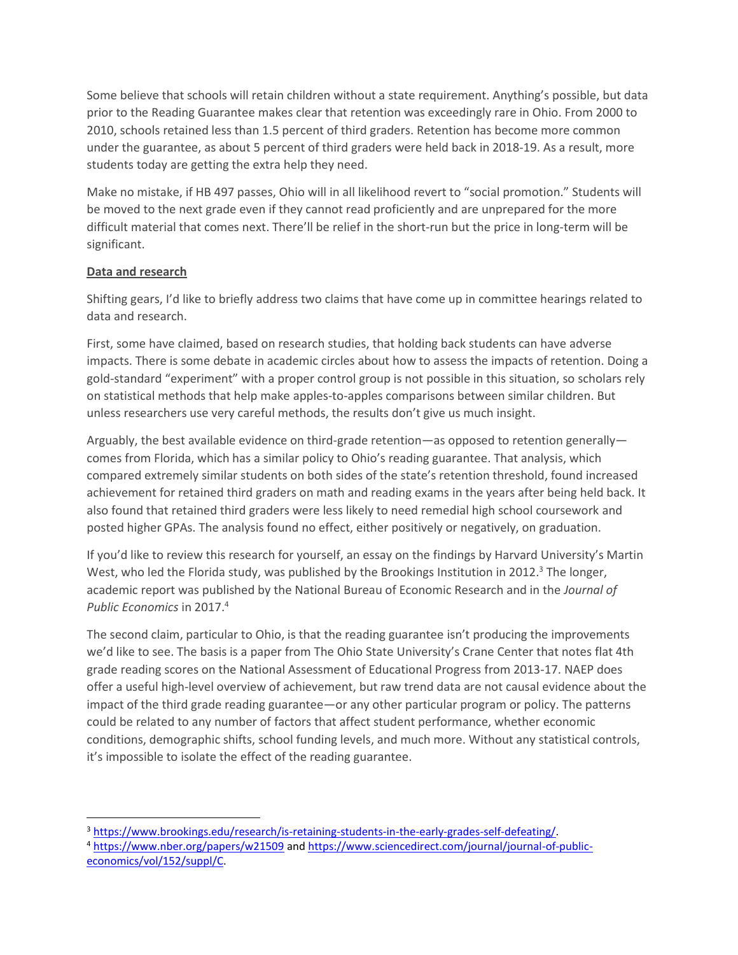Some believe that schools will retain children without a state requirement. Anything's possible, but data prior to the Reading Guarantee makes clear that retention was exceedingly rare in Ohio. From 2000 to 2010, schools retained less than 1.5 percent of third graders. Retention has become more common under the guarantee, as about 5 percent of third graders were held back in 2018-19. As a result, more students today are getting the extra help they need.

Make no mistake, if HB 497 passes, Ohio will in all likelihood revert to "social promotion." Students will be moved to the next grade even if they cannot read proficiently and are unprepared for the more difficult material that comes next. There'll be relief in the short-run but the price in long-term will be significant.

## **Data and research**

 $\overline{a}$ 

Shifting gears, I'd like to briefly address two claims that have come up in committee hearings related to data and research.

First, some have claimed, based on research studies, that holding back students can have adverse impacts. There is some debate in academic circles about how to assess the impacts of retention. Doing a gold-standard "experiment" with a proper control group is not possible in this situation, so scholars rely on statistical methods that help make apples-to-apples comparisons between similar children. But unless researchers use very careful methods, the results don't give us much insight.

Arguably, the best available evidence on third-grade retention—as opposed to retention generally comes from Florida, which has a similar policy to Ohio's reading guarantee. That analysis, which compared extremely similar students on both sides of the state's retention threshold, found increased achievement for retained third graders on math and reading exams in the years after being held back. It also found that retained third graders were less likely to need remedial high school coursework and posted higher GPAs. The analysis found no effect, either positively or negatively, on graduation.

If you'd like to review this research for yourself, an essay on the findings by Harvard University's Martin West, who led the Florida study, was published by the Brookings Institution in 2012.<sup>3</sup> The longer, academic report was published by the National Bureau of Economic Research and in the *Journal of Public Economics* in 2017.<sup>4</sup>

The second claim, particular to Ohio, is that the reading guarantee isn't producing the improvements we'd like to see. The basis is a paper from The Ohio State University's Crane Center that notes flat 4th grade reading scores on the National Assessment of Educational Progress from 2013-17. NAEP does offer a useful high-level overview of achievement, but raw trend data are not causal evidence about the impact of the third grade reading guarantee—or any other particular program or policy. The patterns could be related to any number of factors that affect student performance, whether economic conditions, demographic shifts, school funding levels, and much more. Without any statistical controls, it's impossible to isolate the effect of the reading guarantee.

<sup>3</sup> [https://www.brookings.edu/research/is-retaining-students-in-the-early-grades-self-defeating/.](https://www.brookings.edu/research/is-retaining-students-in-the-early-grades-self-defeating/) 

<sup>4</sup> <https://www.nber.org/papers/w21509> an[d https://www.sciencedirect.com/journal/journal-of-public](https://www.sciencedirect.com/journal/journal-of-public-economics/vol/152/suppl/C)[economics/vol/152/suppl/C.](https://www.sciencedirect.com/journal/journal-of-public-economics/vol/152/suppl/C)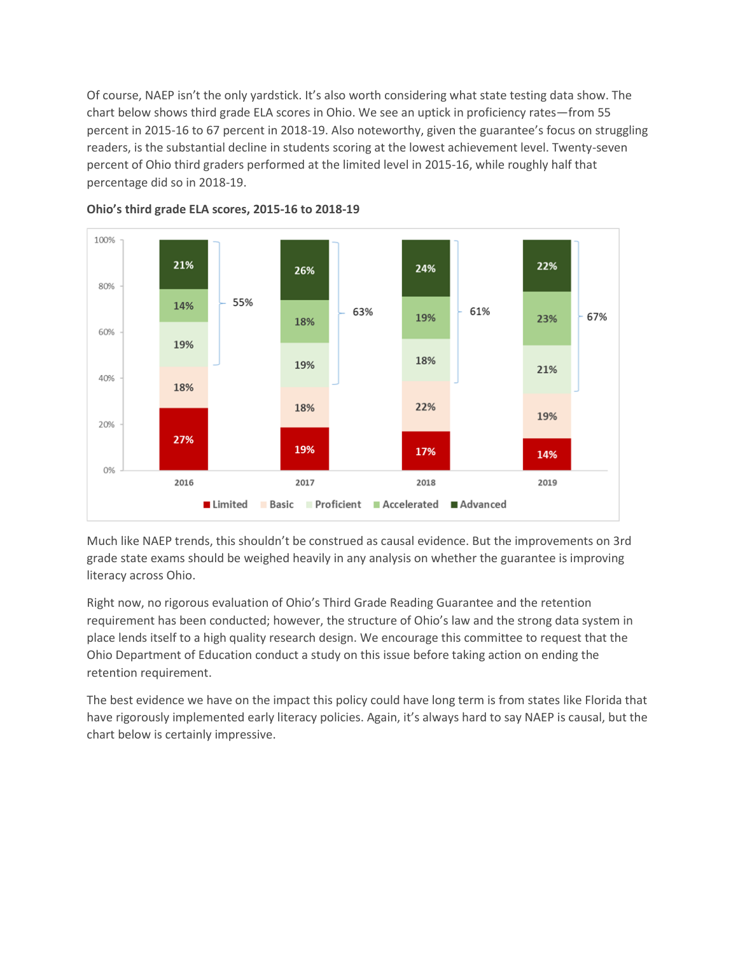Of course, NAEP isn't the only yardstick. It's also worth considering what state testing data show. The chart below shows third grade ELA scores in Ohio. We see an uptick in proficiency rates—from 55 percent in 2015-16 to 67 percent in 2018-19. Also noteworthy, given the guarantee's focus on struggling readers, is the substantial decline in students scoring at the lowest achievement level. Twenty-seven percent of Ohio third graders performed at the limited level in 2015-16, while roughly half that percentage did so in 2018-19.



**Ohio's third grade ELA scores, 2015-16 to 2018-19**

Much like NAEP trends, this shouldn't be construed as causal evidence. But the improvements on 3rd grade state exams should be weighed heavily in any analysis on whether the guarantee is improving literacy across Ohio.

Right now, no rigorous evaluation of Ohio's Third Grade Reading Guarantee and the retention requirement has been conducted; however, the structure of Ohio's law and the strong data system in place lends itself to a high quality research design. We encourage this committee to request that the Ohio Department of Education conduct a study on this issue before taking action on ending the retention requirement.

The best evidence we have on the impact this policy could have long term is from states like Florida that have rigorously implemented early literacy policies. Again, it's always hard to say NAEP is causal, but the chart below is certainly impressive.